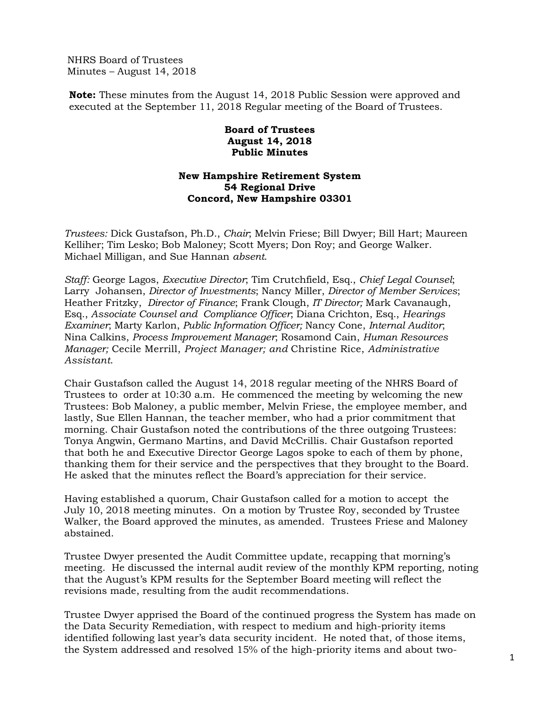NHRS Board of Trustees Minutes – August 14, 2018

**Note:** These minutes from the August 14, 2018 Public Session were approved and executed at the September 11, 2018 Regular meeting of the Board of Trustees.

## **Board of Trustees August 14, 2018 Public Minutes**

## **New Hampshire Retirement System 54 Regional Drive Concord, New Hampshire 03301**

*Trustees:* Dick Gustafson, Ph.D., *Chair*; Melvin Friese; Bill Dwyer; Bill Hart; Maureen Kelliher; Tim Lesko; Bob Maloney; Scott Myers; Don Roy; and George Walker. Michael Milligan, and Sue Hannan *absent*.

*Staff:* George Lagos, *Executive Director*; Tim Crutchfield, Esq., *Chief Legal Counsel*; Larry Johansen, *Director of Investments*; Nancy Miller, *Director of Member Services*; Heather Fritzky, *Director of Finance*; Frank Clough, *IT Director;* Mark Cavanaugh, Esq., *Associate Counsel and Compliance Officer*; Diana Crichton, Esq., *Hearings Examiner*; Marty Karlon, *Public Information Officer;* Nancy Cone, *Internal Auditor*; Nina Calkins, *Process Improvement Manager*; Rosamond Cain, *Human Resources Manager;* Cecile Merrill, *Project Manager; and* Christine Rice, *Administrative Assistant*.

Chair Gustafson called the August 14, 2018 regular meeting of the NHRS Board of Trustees to order at 10:30 a.m. He commenced the meeting by welcoming the new Trustees: Bob Maloney, a public member, Melvin Friese, the employee member, and lastly, Sue Ellen Hannan, the teacher member, who had a prior commitment that morning. Chair Gustafson noted the contributions of the three outgoing Trustees: Tonya Angwin, Germano Martins, and David McCrillis. Chair Gustafson reported that both he and Executive Director George Lagos spoke to each of them by phone, thanking them for their service and the perspectives that they brought to the Board. He asked that the minutes reflect the Board's appreciation for their service.

Having established a quorum, Chair Gustafson called for a motion to accept the July 10, 2018 meeting minutes. On a motion by Trustee Roy, seconded by Trustee Walker, the Board approved the minutes, as amended. Trustees Friese and Maloney abstained.

Trustee Dwyer presented the Audit Committee update, recapping that morning's meeting. He discussed the internal audit review of the monthly KPM reporting, noting that the August's KPM results for the September Board meeting will reflect the revisions made, resulting from the audit recommendations.

Trustee Dwyer apprised the Board of the continued progress the System has made on the Data Security Remediation, with respect to medium and high-priority items identified following last year's data security incident. He noted that, of those items, the System addressed and resolved 15% of the high-priority items and about two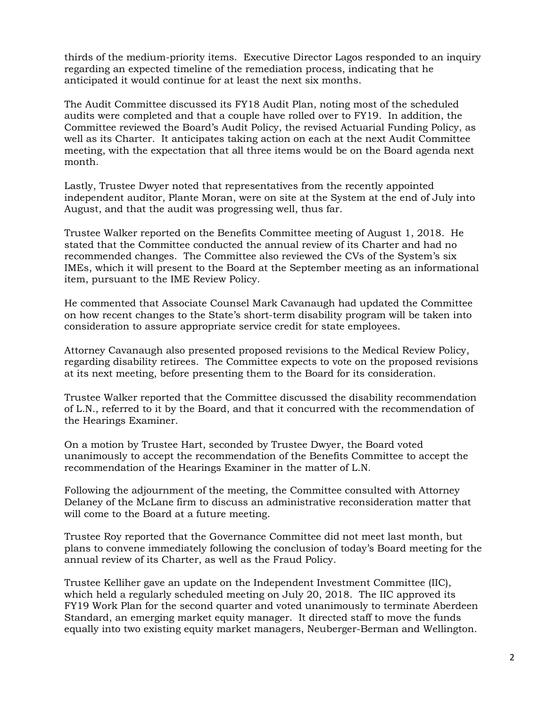thirds of the medium-priority items. Executive Director Lagos responded to an inquiry regarding an expected timeline of the remediation process, indicating that he anticipated it would continue for at least the next six months.

The Audit Committee discussed its FY18 Audit Plan, noting most of the scheduled audits were completed and that a couple have rolled over to FY19. In addition, the Committee reviewed the Board's Audit Policy, the revised Actuarial Funding Policy, as well as its Charter. It anticipates taking action on each at the next Audit Committee meeting, with the expectation that all three items would be on the Board agenda next month.

Lastly, Trustee Dwyer noted that representatives from the recently appointed independent auditor, Plante Moran, were on site at the System at the end of July into August, and that the audit was progressing well, thus far.

Trustee Walker reported on the Benefits Committee meeting of August 1, 2018. He stated that the Committee conducted the annual review of its Charter and had no recommended changes. The Committee also reviewed the CVs of the System's six IMEs, which it will present to the Board at the September meeting as an informational item, pursuant to the IME Review Policy.

He commented that Associate Counsel Mark Cavanaugh had updated the Committee on how recent changes to the State's short-term disability program will be taken into consideration to assure appropriate service credit for state employees.

Attorney Cavanaugh also presented proposed revisions to the Medical Review Policy, regarding disability retirees. The Committee expects to vote on the proposed revisions at its next meeting, before presenting them to the Board for its consideration.

Trustee Walker reported that the Committee discussed the disability recommendation of L.N., referred to it by the Board, and that it concurred with the recommendation of the Hearings Examiner.

On a motion by Trustee Hart, seconded by Trustee Dwyer, the Board voted unanimously to accept the recommendation of the Benefits Committee to accept the recommendation of the Hearings Examiner in the matter of L.N.

Following the adjournment of the meeting, the Committee consulted with Attorney Delaney of the McLane firm to discuss an administrative reconsideration matter that will come to the Board at a future meeting.

Trustee Roy reported that the Governance Committee did not meet last month, but plans to convene immediately following the conclusion of today's Board meeting for the annual review of its Charter, as well as the Fraud Policy.

Trustee Kelliher gave an update on the Independent Investment Committee (IIC), which held a regularly scheduled meeting on July 20, 2018. The IIC approved its FY19 Work Plan for the second quarter and voted unanimously to terminate Aberdeen Standard, an emerging market equity manager. It directed staff to move the funds equally into two existing equity market managers, Neuberger-Berman and Wellington.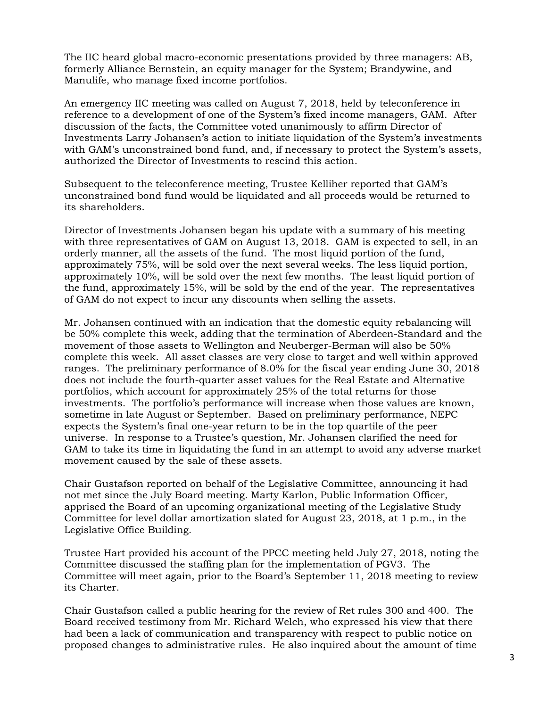The IIC heard global macro-economic presentations provided by three managers: AB, formerly Alliance Bernstein, an equity manager for the System; Brandywine, and Manulife, who manage fixed income portfolios.

An emergency IIC meeting was called on August 7, 2018, held by teleconference in reference to a development of one of the System's fixed income managers, GAM. After discussion of the facts, the Committee voted unanimously to affirm Director of Investments Larry Johansen's action to initiate liquidation of the System's investments with GAM's unconstrained bond fund, and, if necessary to protect the System's assets, authorized the Director of Investments to rescind this action.

Subsequent to the teleconference meeting, Trustee Kelliher reported that GAM's unconstrained bond fund would be liquidated and all proceeds would be returned to its shareholders.

Director of Investments Johansen began his update with a summary of his meeting with three representatives of GAM on August 13, 2018. GAM is expected to sell, in an orderly manner, all the assets of the fund. The most liquid portion of the fund, approximately 75%, will be sold over the next several weeks. The less liquid portion, approximately 10%, will be sold over the next few months. The least liquid portion of the fund, approximately 15%, will be sold by the end of the year. The representatives of GAM do not expect to incur any discounts when selling the assets.

Mr. Johansen continued with an indication that the domestic equity rebalancing will be 50% complete this week, adding that the termination of Aberdeen-Standard and the movement of those assets to Wellington and Neuberger-Berman will also be 50% complete this week. All asset classes are very close to target and well within approved ranges. The preliminary performance of 8.0% for the fiscal year ending June 30, 2018 does not include the fourth-quarter asset values for the Real Estate and Alternative portfolios, which account for approximately 25% of the total returns for those investments. The portfolio's performance will increase when those values are known, sometime in late August or September. Based on preliminary performance, NEPC expects the System's final one-year return to be in the top quartile of the peer universe. In response to a Trustee's question, Mr. Johansen clarified the need for GAM to take its time in liquidating the fund in an attempt to avoid any adverse market movement caused by the sale of these assets.

Chair Gustafson reported on behalf of the Legislative Committee, announcing it had not met since the July Board meeting. Marty Karlon, Public Information Officer, apprised the Board of an upcoming organizational meeting of the Legislative Study Committee for level dollar amortization slated for August 23, 2018, at 1 p.m., in the Legislative Office Building.

Trustee Hart provided his account of the PPCC meeting held July 27, 2018, noting the Committee discussed the staffing plan for the implementation of PGV3. The Committee will meet again, prior to the Board's September 11, 2018 meeting to review its Charter.

Chair Gustafson called a public hearing for the review of Ret rules 300 and 400. The Board received testimony from Mr. Richard Welch, who expressed his view that there had been a lack of communication and transparency with respect to public notice on proposed changes to administrative rules. He also inquired about the amount of time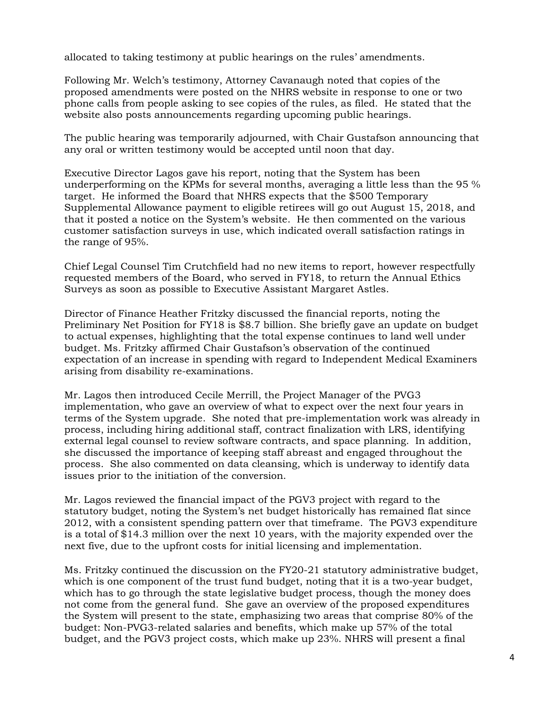allocated to taking testimony at public hearings on the rules' amendments.

Following Mr. Welch's testimony, Attorney Cavanaugh noted that copies of the proposed amendments were posted on the NHRS website in response to one or two phone calls from people asking to see copies of the rules, as filed. He stated that the website also posts announcements regarding upcoming public hearings.

The public hearing was temporarily adjourned, with Chair Gustafson announcing that any oral or written testimony would be accepted until noon that day.

Executive Director Lagos gave his report, noting that the System has been underperforming on the KPMs for several months, averaging a little less than the 95 % target. He informed the Board that NHRS expects that the \$500 Temporary Supplemental Allowance payment to eligible retirees will go out August 15, 2018, and that it posted a notice on the System's website. He then commented on the various customer satisfaction surveys in use, which indicated overall satisfaction ratings in the range of 95%.

Chief Legal Counsel Tim Crutchfield had no new items to report, however respectfully requested members of the Board, who served in FY18, to return the Annual Ethics Surveys as soon as possible to Executive Assistant Margaret Astles.

Director of Finance Heather Fritzky discussed the financial reports, noting the Preliminary Net Position for FY18 is \$8.7 billion. She briefly gave an update on budget to actual expenses, highlighting that the total expense continues to land well under budget. Ms. Fritzky affirmed Chair Gustafson's observation of the continued expectation of an increase in spending with regard to Independent Medical Examiners arising from disability re-examinations.

Mr. Lagos then introduced Cecile Merrill, the Project Manager of the PVG3 implementation, who gave an overview of what to expect over the next four years in terms of the System upgrade. She noted that pre-implementation work was already in process, including hiring additional staff, contract finalization with LRS, identifying external legal counsel to review software contracts, and space planning. In addition, she discussed the importance of keeping staff abreast and engaged throughout the process. She also commented on data cleansing, which is underway to identify data issues prior to the initiation of the conversion.

Mr. Lagos reviewed the financial impact of the PGV3 project with regard to the statutory budget, noting the System's net budget historically has remained flat since 2012, with a consistent spending pattern over that timeframe. The PGV3 expenditure is a total of \$14.3 million over the next 10 years, with the majority expended over the next five, due to the upfront costs for initial licensing and implementation.

Ms. Fritzky continued the discussion on the FY20-21 statutory administrative budget, which is one component of the trust fund budget, noting that it is a two-year budget, which has to go through the state legislative budget process, though the money does not come from the general fund. She gave an overview of the proposed expenditures the System will present to the state, emphasizing two areas that comprise 80% of the budget: Non-PVG3-related salaries and benefits, which make up 57% of the total budget, and the PGV3 project costs, which make up 23%. NHRS will present a final